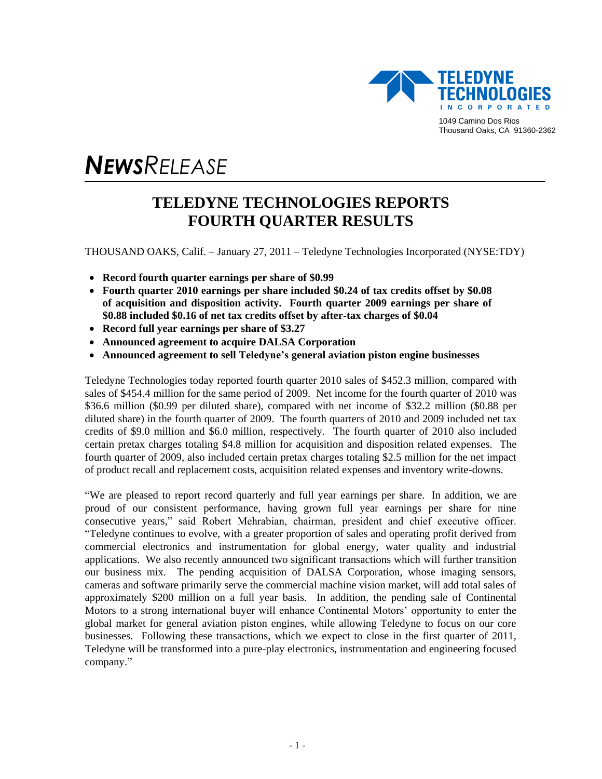

# *NEWSRELEASE*

# **TELEDYNE TECHNOLOGIES REPORTS FOURTH QUARTER RESULTS**

THOUSAND OAKS, Calif. – January 27, 2011 – Teledyne Technologies Incorporated (NYSE:TDY)

- **Record fourth quarter earnings per share of \$0.99**
- **Fourth quarter 2010 earnings per share included \$0.24 of tax credits offset by \$0.08 of acquisition and disposition activity. Fourth quarter 2009 earnings per share of \$0.88 included \$0.16 of net tax credits offset by after-tax charges of \$0.04**
- **Record full year earnings per share of \$3.27**
- **Announced agreement to acquire DALSA Corporation**
- **Announced agreement to sell Teledyne's general aviation piston engine businesses**

Teledyne Technologies today reported fourth quarter 2010 sales of \$452.3 million, compared with sales of \$454.4 million for the same period of 2009. Net income for the fourth quarter of 2010 was \$36.6 million (\$0.99 per diluted share), compared with net income of \$32.2 million (\$0.88 per diluted share) in the fourth quarter of 2009. The fourth quarters of 2010 and 2009 included net tax credits of \$9.0 million and \$6.0 million, respectively. The fourth quarter of 2010 also included certain pretax charges totaling \$4.8 million for acquisition and disposition related expenses. The fourth quarter of 2009, also included certain pretax charges totaling \$2.5 million for the net impact of product recall and replacement costs, acquisition related expenses and inventory write-downs.

―We are pleased to report record quarterly and full year earnings per share. In addition, we are proud of our consistent performance, having grown full year earnings per share for nine consecutive years,‖ said Robert Mehrabian, chairman, president and chief executive officer. ―Teledyne continues to evolve, with a greater proportion of sales and operating profit derived from commercial electronics and instrumentation for global energy, water quality and industrial applications. We also recently announced two significant transactions which will further transition our business mix. The pending acquisition of DALSA Corporation, whose imaging sensors, cameras and software primarily serve the commercial machine vision market, will add total sales of approximately \$200 million on a full year basis. In addition, the pending sale of Continental Motors to a strong international buyer will enhance Continental Motors' opportunity to enter the global market for general aviation piston engines, while allowing Teledyne to focus on our core businesses. Following these transactions, which we expect to close in the first quarter of 2011, Teledyne will be transformed into a pure-play electronics, instrumentation and engineering focused company."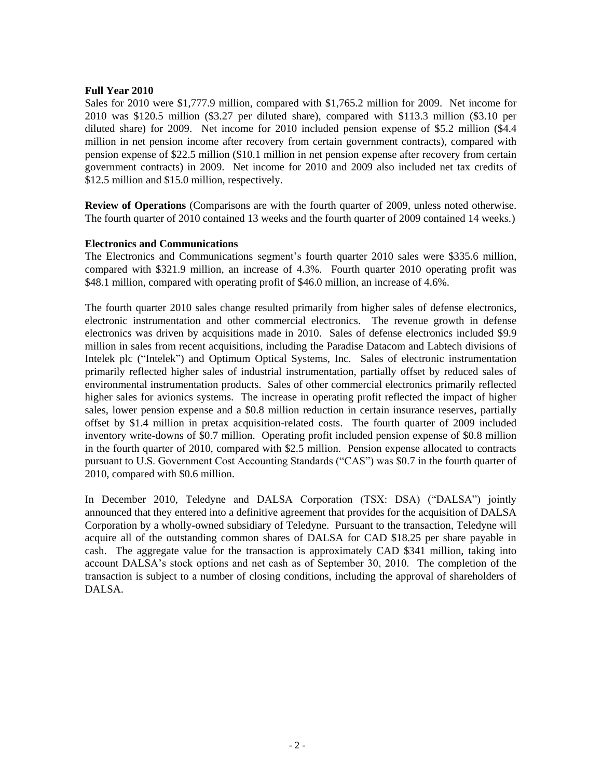# **Full Year 2010**

Sales for 2010 were \$1,777.9 million, compared with \$1,765.2 million for 2009. Net income for 2010 was \$120.5 million (\$3.27 per diluted share), compared with \$113.3 million (\$3.10 per diluted share) for 2009. Net income for 2010 included pension expense of \$5.2 million (\$4.4 million in net pension income after recovery from certain government contracts), compared with pension expense of \$22.5 million (\$10.1 million in net pension expense after recovery from certain government contracts) in 2009. Net income for 2010 and 2009 also included net tax credits of \$12.5 million and \$15.0 million, respectively.

**Review of Operations** (Comparisons are with the fourth quarter of 2009, unless noted otherwise. The fourth quarter of 2010 contained 13 weeks and the fourth quarter of 2009 contained 14 weeks.)

# **Electronics and Communications**

The Electronics and Communications segment's fourth quarter 2010 sales were \$335.6 million, compared with \$321.9 million, an increase of 4.3%. Fourth quarter 2010 operating profit was \$48.1 million, compared with operating profit of \$46.0 million, an increase of 4.6%.

The fourth quarter 2010 sales change resulted primarily from higher sales of defense electronics, electronic instrumentation and other commercial electronics. The revenue growth in defense electronics was driven by acquisitions made in 2010. Sales of defense electronics included \$9.9 million in sales from recent acquisitions, including the Paradise Datacom and Labtech divisions of Intelek plc ("Intelek") and Optimum Optical Systems, Inc. Sales of electronic instrumentation primarily reflected higher sales of industrial instrumentation, partially offset by reduced sales of environmental instrumentation products. Sales of other commercial electronics primarily reflected higher sales for avionics systems. The increase in operating profit reflected the impact of higher sales, lower pension expense and a \$0.8 million reduction in certain insurance reserves, partially offset by \$1.4 million in pretax acquisition-related costs. The fourth quarter of 2009 included inventory write-downs of \$0.7 million. Operating profit included pension expense of \$0.8 million in the fourth quarter of 2010, compared with \$2.5 million. Pension expense allocated to contracts pursuant to U.S. Government Cost Accounting Standards ("CAS") was \$0.7 in the fourth quarter of 2010, compared with \$0.6 million.

In December 2010, Teledyne and DALSA Corporation (TSX: DSA) ("DALSA") jointly announced that they entered into a definitive agreement that provides for the acquisition of DALSA Corporation by a wholly-owned subsidiary of Teledyne. Pursuant to the transaction, Teledyne will acquire all of the outstanding common shares of DALSA for CAD \$18.25 per share payable in cash. The aggregate value for the transaction is approximately CAD \$341 million, taking into account DALSA's stock options and net cash as of September 30, 2010. The completion of the transaction is subject to a number of closing conditions, including the approval of shareholders of DALSA.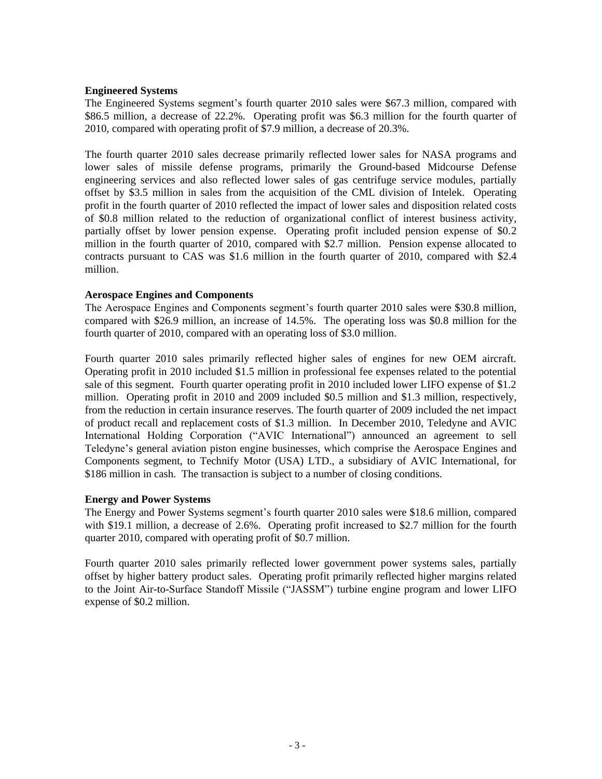# **Engineered Systems**

The Engineered Systems segment's fourth quarter 2010 sales were \$67.3 million, compared with \$86.5 million, a decrease of 22.2%. Operating profit was \$6.3 million for the fourth quarter of 2010, compared with operating profit of \$7.9 million, a decrease of 20.3%.

The fourth quarter 2010 sales decrease primarily reflected lower sales for NASA programs and lower sales of missile defense programs, primarily the Ground-based Midcourse Defense engineering services and also reflected lower sales of gas centrifuge service modules, partially offset by \$3.5 million in sales from the acquisition of the CML division of Intelek. Operating profit in the fourth quarter of 2010 reflected the impact of lower sales and disposition related costs of \$0.8 million related to the reduction of organizational conflict of interest business activity, partially offset by lower pension expense. Operating profit included pension expense of \$0.2 million in the fourth quarter of 2010, compared with \$2.7 million. Pension expense allocated to contracts pursuant to CAS was \$1.6 million in the fourth quarter of 2010, compared with \$2.4 million.

# **Aerospace Engines and Components**

The Aerospace Engines and Components segment's fourth quarter 2010 sales were \$30.8 million, compared with \$26.9 million, an increase of 14.5%. The operating loss was \$0.8 million for the fourth quarter of 2010, compared with an operating loss of \$3.0 million.

Fourth quarter 2010 sales primarily reflected higher sales of engines for new OEM aircraft. Operating profit in 2010 included \$1.5 million in professional fee expenses related to the potential sale of this segment. Fourth quarter operating profit in 2010 included lower LIFO expense of \$1.2 million. Operating profit in 2010 and 2009 included \$0.5 million and \$1.3 million, respectively, from the reduction in certain insurance reserves. The fourth quarter of 2009 included the net impact of product recall and replacement costs of \$1.3 million. In December 2010, Teledyne and AVIC International Holding Corporation ("AVIC International") announced an agreement to sell Teledyne's general aviation piston engine businesses, which comprise the Aerospace Engines and Components segment, to Technify Motor (USA) LTD., a subsidiary of AVIC International, for \$186 million in cash. The transaction is subject to a number of closing conditions.

# **Energy and Power Systems**

The Energy and Power Systems segment's fourth quarter 2010 sales were \$18.6 million, compared with \$19.1 million, a decrease of 2.6%. Operating profit increased to \$2.7 million for the fourth quarter 2010, compared with operating profit of \$0.7 million.

Fourth quarter 2010 sales primarily reflected lower government power systems sales, partially offset by higher battery product sales. Operating profit primarily reflected higher margins related to the Joint Air-to-Surface Standoff Missile ("JASSM") turbine engine program and lower LIFO expense of \$0.2 million.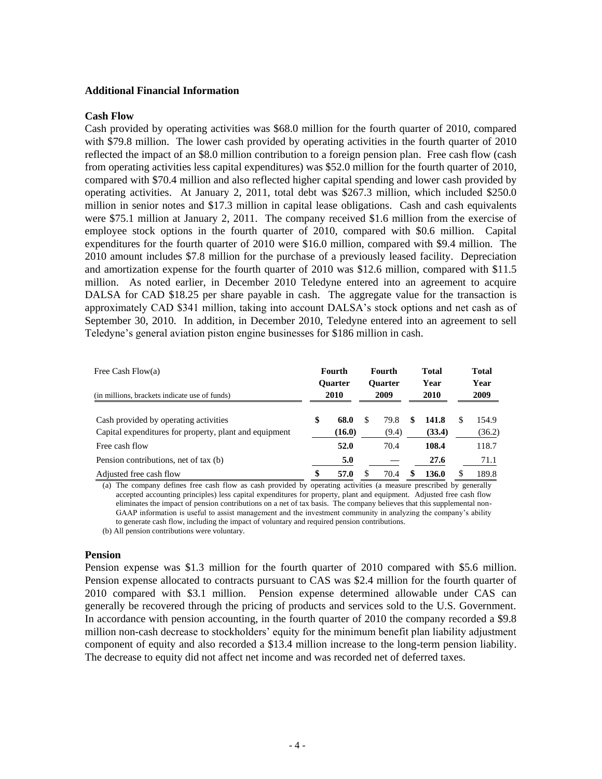### **Additional Financial Information**

#### **Cash Flow**

Cash provided by operating activities was \$68.0 million for the fourth quarter of 2010, compared with \$79.8 million. The lower cash provided by operating activities in the fourth quarter of 2010 reflected the impact of an \$8.0 million contribution to a foreign pension plan. Free cash flow (cash from operating activities less capital expenditures) was \$52.0 million for the fourth quarter of 2010, compared with \$70.4 million and also reflected higher capital spending and lower cash provided by operating activities. At January 2, 2011, total debt was \$267.3 million, which included \$250.0 million in senior notes and \$17.3 million in capital lease obligations. Cash and cash equivalents were \$75.1 million at January 2, 2011. The company received \$1.6 million from the exercise of employee stock options in the fourth quarter of 2010, compared with \$0.6 million. Capital expenditures for the fourth quarter of 2010 were \$16.0 million, compared with \$9.4 million. The 2010 amount includes \$7.8 million for the purchase of a previously leased facility. Depreciation and amortization expense for the fourth quarter of 2010 was \$12.6 million, compared with \$11.5 million. As noted earlier, in December 2010 Teledyne entered into an agreement to acquire DALSA for CAD \$18.25 per share payable in cash. The aggregate value for the transaction is approximately CAD \$341 million, taking into account DALSA's stock options and net cash as of September 30, 2010. In addition, in December 2010, Teledyne entered into an agreement to sell Teledyne's general aviation piston engine businesses for \$186 million in cash.

| Free Cash Flow $(a)$<br>(in millions, brackets indicate use of funds)                           | Fourth<br><b>Ouarter</b><br>2010 |                |     | Fourth<br><b>Ouarter</b><br>2009 | Total<br>Year<br>2010 |                 | Total<br>Year<br>2009 |                 |
|-------------------------------------------------------------------------------------------------|----------------------------------|----------------|-----|----------------------------------|-----------------------|-----------------|-----------------------|-----------------|
| Cash provided by operating activities<br>Capital expenditures for property, plant and equipment | S                                | 68.0<br>(16.0) | \$. | 79.8<br>(9.4)                    | \$.                   | 141.8<br>(33.4) |                       | 154.9<br>(36.2) |
| Free cash flow                                                                                  |                                  | 52.0           |     | 70.4                             |                       | 108.4           |                       | 118.7           |
| Pension contributions, net of tax (b)                                                           |                                  | 5.0            |     |                                  |                       | 27.6            |                       | 71.1            |
| Adjusted free cash flow                                                                         | S                                | 57.0           | \$  | 70.4                             | S                     | 136.0           |                       | 189.8           |

(a) The company defines free cash flow as cash provided by operating activities (a measure prescribed by generally accepted accounting principles) less capital expenditures for property, plant and equipment. Adjusted free cash flow eliminates the impact of pension contributions on a net of tax basis. The company believes that this supplemental non-GAAP information is useful to assist management and the investment community in analyzing the company's ability to generate cash flow, including the impact of voluntary and required pension contributions.

(b) All pension contributions were voluntary.

#### **Pension**

Pension expense was \$1.3 million for the fourth quarter of 2010 compared with \$5.6 million. Pension expense allocated to contracts pursuant to CAS was \$2.4 million for the fourth quarter of 2010 compared with \$3.1 million. Pension expense determined allowable under CAS can generally be recovered through the pricing of products and services sold to the U.S. Government. In accordance with pension accounting, in the fourth quarter of 2010 the company recorded a \$9.8 million non-cash decrease to stockholders' equity for the minimum benefit plan liability adjustment component of equity and also recorded a \$13.4 million increase to the long-term pension liability. The decrease to equity did not affect net income and was recorded net of deferred taxes.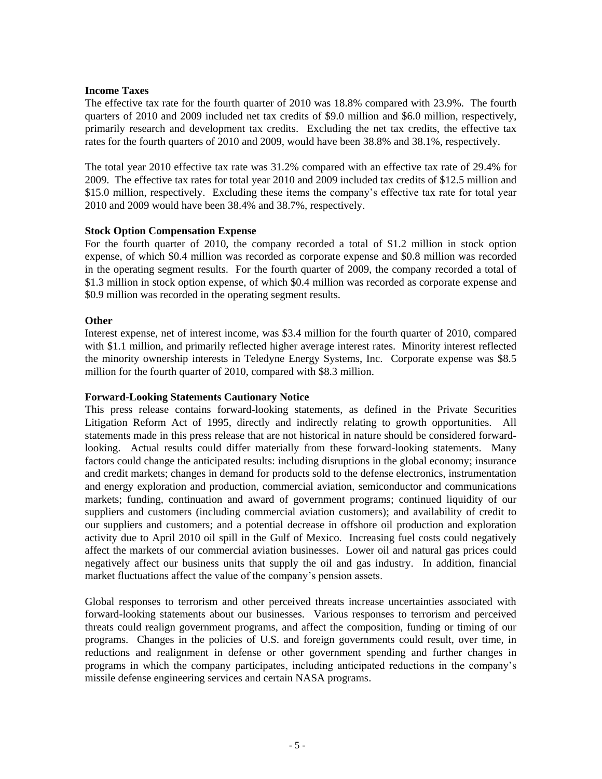# **Income Taxes**

The effective tax rate for the fourth quarter of 2010 was 18.8% compared with 23.9%. The fourth quarters of 2010 and 2009 included net tax credits of \$9.0 million and \$6.0 million, respectively, primarily research and development tax credits. Excluding the net tax credits, the effective tax rates for the fourth quarters of 2010 and 2009, would have been 38.8% and 38.1%, respectively.

The total year 2010 effective tax rate was 31.2% compared with an effective tax rate of 29.4% for 2009. The effective tax rates for total year 2010 and 2009 included tax credits of \$12.5 million and \$15.0 million, respectively. Excluding these items the company's effective tax rate for total year 2010 and 2009 would have been 38.4% and 38.7%, respectively.

# **Stock Option Compensation Expense**

For the fourth quarter of 2010, the company recorded a total of \$1.2 million in stock option expense, of which \$0.4 million was recorded as corporate expense and \$0.8 million was recorded in the operating segment results. For the fourth quarter of 2009, the company recorded a total of \$1.3 million in stock option expense, of which \$0.4 million was recorded as corporate expense and \$0.9 million was recorded in the operating segment results.

# **Other**

Interest expense, net of interest income, was \$3.4 million for the fourth quarter of 2010, compared with \$1.1 million, and primarily reflected higher average interest rates. Minority interest reflected the minority ownership interests in Teledyne Energy Systems, Inc. Corporate expense was \$8.5 million for the fourth quarter of 2010, compared with \$8.3 million.

# **Forward-Looking Statements Cautionary Notice**

This press release contains forward-looking statements, as defined in the Private Securities Litigation Reform Act of 1995, directly and indirectly relating to growth opportunities. All statements made in this press release that are not historical in nature should be considered forwardlooking. Actual results could differ materially from these forward-looking statements. Many factors could change the anticipated results: including disruptions in the global economy; insurance and credit markets; changes in demand for products sold to the defense electronics, instrumentation and energy exploration and production, commercial aviation, semiconductor and communications markets; funding, continuation and award of government programs; continued liquidity of our suppliers and customers (including commercial aviation customers); and availability of credit to our suppliers and customers; and a potential decrease in offshore oil production and exploration activity due to April 2010 oil spill in the Gulf of Mexico. Increasing fuel costs could negatively affect the markets of our commercial aviation businesses. Lower oil and natural gas prices could negatively affect our business units that supply the oil and gas industry. In addition, financial market fluctuations affect the value of the company's pension assets.

Global responses to terrorism and other perceived threats increase uncertainties associated with forward-looking statements about our businesses. Various responses to terrorism and perceived threats could realign government programs, and affect the composition, funding or timing of our programs. Changes in the policies of U.S. and foreign governments could result, over time, in reductions and realignment in defense or other government spending and further changes in programs in which the company participates, including anticipated reductions in the company's missile defense engineering services and certain NASA programs.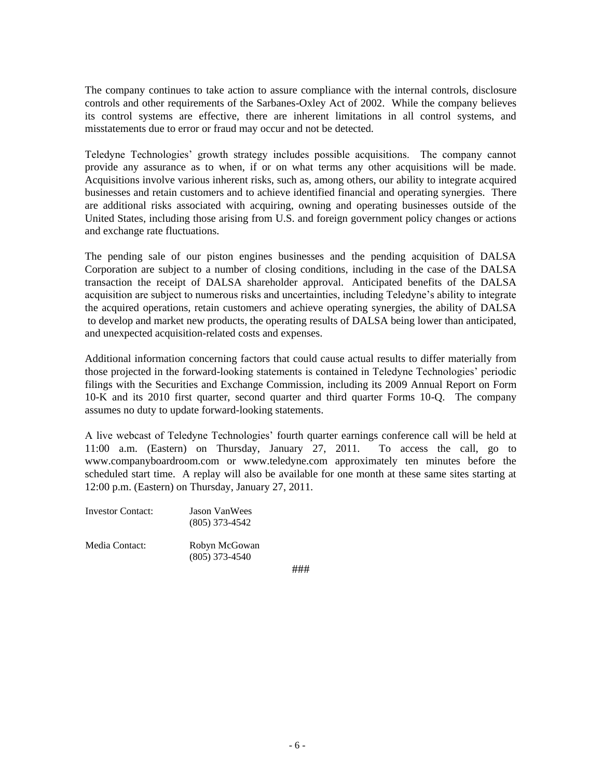The company continues to take action to assure compliance with the internal controls, disclosure controls and other requirements of the Sarbanes-Oxley Act of 2002. While the company believes its control systems are effective, there are inherent limitations in all control systems, and misstatements due to error or fraud may occur and not be detected.

Teledyne Technologies' growth strategy includes possible acquisitions. The company cannot provide any assurance as to when, if or on what terms any other acquisitions will be made. Acquisitions involve various inherent risks, such as, among others, our ability to integrate acquired businesses and retain customers and to achieve identified financial and operating synergies. There are additional risks associated with acquiring, owning and operating businesses outside of the United States, including those arising from U.S. and foreign government policy changes or actions and exchange rate fluctuations.

The pending sale of our piston engines businesses and the pending acquisition of DALSA Corporation are subject to a number of closing conditions, including in the case of the DALSA transaction the receipt of DALSA shareholder approval. Anticipated benefits of the DALSA acquisition are subject to numerous risks and uncertainties, including Teledyne's ability to integrate the acquired operations, retain customers and achieve operating synergies, the ability of DALSA to develop and market new products, the operating results of DALSA being lower than anticipated, and unexpected acquisition-related costs and expenses.

Additional information concerning factors that could cause actual results to differ materially from those projected in the forward-looking statements is contained in Teledyne Technologies' periodic filings with the Securities and Exchange Commission, including its 2009 Annual Report on Form 10-K and its 2010 first quarter, second quarter and third quarter Forms 10-Q. The company assumes no duty to update forward-looking statements.

A live webcast of Teledyne Technologies' fourth quarter earnings conference call will be held at 11:00 a.m. (Eastern) on Thursday, January 27, 2011. To access the call, go to www.companyboardroom.com or www.teledyne.com approximately ten minutes before the scheduled start time. A replay will also be available for one month at these same sites starting at 12:00 p.m. (Eastern) on Thursday, January 27, 2011.

| Investor Contact: | <b>Jason VanWees</b><br>$(805)$ 373-4542 |
|-------------------|------------------------------------------|
| Media Contact:    | Robyn McGowan                            |

(805) 373-4540

Media Contact:

###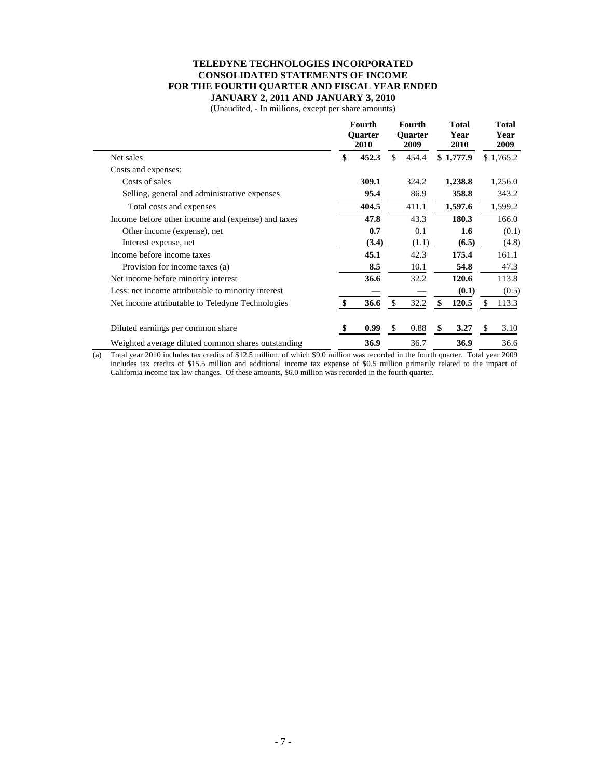#### **TELEDYNE TECHNOLOGIES INCORPORATED CONSOLIDATED STATEMENTS OF INCOME FOR THE FOURTH QUARTER AND FISCAL YEAR ENDED JANUARY 2, 2011 AND JANUARY 3, 2010**

(Unaudited, - In millions, except per share amounts)

|                                                    | Fourth<br><b>Ouarter</b><br>2010 |       | <b>Fourth</b><br><b>Ouarter</b><br>2009 |       | Total<br>Year<br><b>2010</b> |           | <b>Total</b><br>Year<br>2009 |           |
|----------------------------------------------------|----------------------------------|-------|-----------------------------------------|-------|------------------------------|-----------|------------------------------|-----------|
| Net sales                                          | \$                               | 452.3 | \$                                      | 454.4 |                              | \$1,777.9 |                              | \$1,765.2 |
| Costs and expenses:                                |                                  |       |                                         |       |                              |           |                              |           |
| Costs of sales                                     |                                  | 309.1 |                                         | 324.2 |                              | 1,238.8   |                              | 1,256.0   |
| Selling, general and administrative expenses       |                                  | 95.4  |                                         | 86.9  |                              | 358.8     |                              | 343.2     |
| Total costs and expenses                           |                                  | 404.5 |                                         | 411.1 |                              | 1,597.6   |                              | 1,599.2   |
| Income before other income and (expense) and taxes |                                  | 47.8  |                                         | 43.3  |                              | 180.3     |                              | 166.0     |
| Other income (expense), net                        |                                  | 0.7   |                                         | 0.1   |                              | $1.6\,$   |                              | (0.1)     |
| Interest expense, net                              |                                  | (3.4) |                                         | (1.1) |                              | (6.5)     |                              | (4.8)     |
| Income before income taxes                         |                                  | 45.1  |                                         | 42.3  |                              | 175.4     |                              | 161.1     |
| Provision for income taxes (a)                     |                                  | 8.5   |                                         | 10.1  |                              | 54.8      |                              | 47.3      |
| Net income before minority interest                |                                  | 36.6  |                                         | 32.2  |                              | 120.6     |                              | 113.8     |
| Less: net income attributable to minority interest |                                  |       |                                         |       |                              | (0.1)     |                              | (0.5)     |
| Net income attributable to Teledyne Technologies   | \$                               | 36.6  | \$                                      | 32.2  | \$                           | 120.5     | S                            | 113.3     |
| Diluted earnings per common share                  | \$.                              | 0.99  | \$                                      | 0.88  | \$                           | 3.27      | <sup>\$</sup>                | 3.10      |
| Weighted average diluted common shares outstanding |                                  | 36.9  |                                         | 36.7  |                              | 36.9      |                              | 36.6      |

(a) Total year 2010 includes tax credits of \$12.5 million, of which \$9.0 million was recorded in the fourth quarter. Total year 2009 includes tax credits of \$15.5 million and additional income tax expense of \$0.5 million primarily related to the impact of California income tax law changes. Of these amounts, \$6.0 million was recorded in the fourth quarter.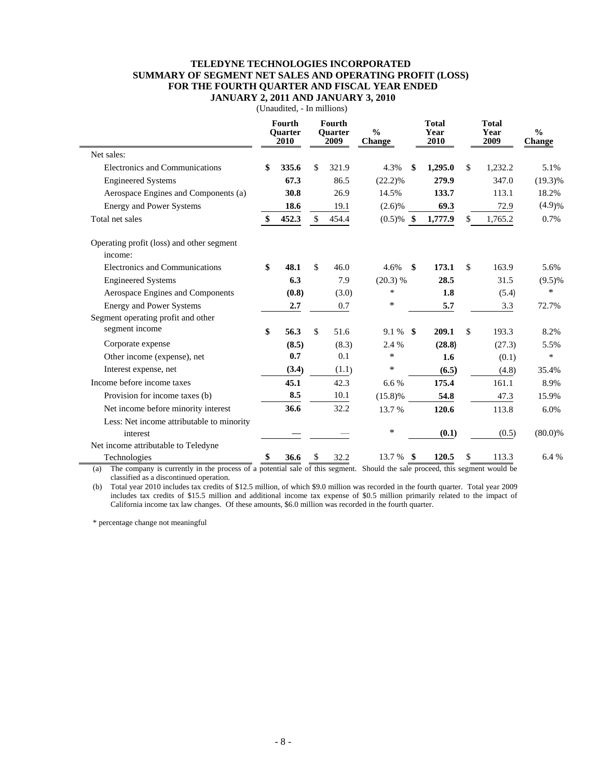#### **TELEDYNE TECHNOLOGIES INCORPORATED SUMMARY OF SEGMENT NET SALES AND OPERATING PROFIT (LOSS) FOR THE FOURTH QUARTER AND FISCAL YEAR ENDED JANUARY 2, 2011 AND JANUARY 3, 2010**

**Fourth Fourth Total Total Quarter 2010 Quarter 2009 % Change Year 2010 Year 2009 % Change** Net sales: Electronics and Communications **\$ 335.6** \$ 321.9 4.3% **\$ 1,295.0** \$ 1,232.2 5.1% Engineered Systems **67.3** 86.5 (22.2)% **279.9** 347.0 (19.3)% Aerospace Engines and Components (a) **30.8** 26.9 14.5% **133.7** 113.1 18.2% Energy and Power Systems **18.6** 19.1 (2.6)% **69.3** 72.9 (4.9)% Total net sales **\$ 452.3** \$ 454.4 (0.5)% **\$ 1,777.9** \$ 1,765.2 0.7% Operating profit (loss) and other segment income: Electronics and Communications **\$ 48.1** \$ 46.0 4.6% **\$ 173.1** \$ 163.9 5.6% Engineered Systems **6.3** 7.9 (20.3) % **28.5** 31.5 (9.5)% Aerospace Engines and Components **(0.8)** (3.0) \* **1.8** (5.4) \* Energy and Power Systems **2.7** 0.7 **\*** 5.7 3.3 72.7% Segment operating profit and other segment income **\$ 56.3** \$ 51.6 9.1 % **\$ 209.1** \$ 193.3 8.2% Corporate expense **(8.5)** (8.3) 2.4 % **(28.8)** (27.3) 5.5% Other income (expense), net **0.7** 0.1 \* **1.6** (0.1) \* Interest expense, net **(3.4)** (1.1) \* **(6.5)** (4.8) 35.4% Income before income taxes **45.1** 42.3 6.6 % **175.4** 161.1 8.9% Provision for income taxes (b) **8.5** 10.1 (15.8)% **54.8** 47.3 15.9% Net income before minority interest **36.6** 32.2 13.7 % **120.6** 113.8 6.0% Less: Net income attributable to minority interest **—** — \* **(0.1)** (0.5) (80.0)% Net income attributable to Teledyne Technologies **\$ 36.6** \$ 32.2 13.7 % **\$ 120.5** \$ 113.3 6.4 %

(Unaudited, - In millions)

(a) The company is currently in the process of a potential sale of this segment. Should the sale proceed, this segment would be classified as a discontinued operation.

(b) Total year 2010 includes tax credits of \$12.5 million, of which \$9.0 million was recorded in the fourth quarter. Total year 2009 includes tax credits of \$15.5 million and additional income tax expense of \$0.5 million primarily related to the impact of California income tax law changes. Of these amounts, \$6.0 million was recorded in the fourth quarter.

\* percentage change not meaningful